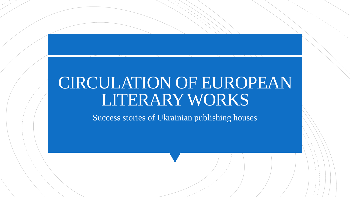# CIRCULATION OF EUROPEAN LITERARY WORKS

Success stories of Ukrainian publishing houses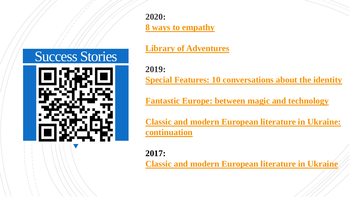**2020:**

**[8 ways to empathy](https://creativeeurope.in.ua/p/eightwaystoempathy_lit_tr)**

**[Library of Adventures](https://creativeeurope.in.ua/p/libraryofadventures_lit_tr)**

Success Stories

**2019: [Special Features: 10 conversations about the identity](https://creativeeurope.in.ua/p/anettaantonenko_publishers)**

**[Fantastic Europe: between magic and technology](https://creativeeurope.in.ua/p/fantastic_europe_bohdan_publishing)**

**[Classic and modern European literature in Ukraine:](https://creativeeurope.in.ua/p/astrolabe_publishing_continuation)  continuation**

**2017:**

**[Classic and modern European literature in Ukraine](https://creativeeurope.in.ua/p/astrolabe_publishing)**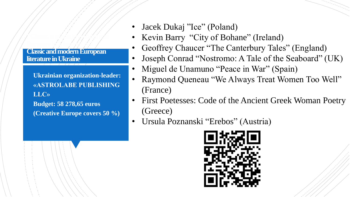**Classic and modern European literature in Ukraine**

**literature in Ukraine" X 2**

**"Classic and modern European** 

▪ **Ukrainian organization-leader: «ASTROLABE PUBLISHING LLC» Budget: 58 278,65 euros (Creative Europe covers 50 %)**

- Jacek Dukaj "Ice" (Poland)
- Kevin Barry "City of Bohane" (Ireland)
- Geoffrey Chaucer "The Canterbury Tales" (England)
- Joseph Conrad "Nostromo: A Tale of the Seaboard" (UK)
- Miguel de Unamuno "Peace in War" (Spain)
- Raymond Queneau "We Always Treat Women Too Well" (France)
- First Poetesses: Code of the Ancient Greek Woman Poetry (Greece)
- Ursula Poznanski "Erebos" (Austria)

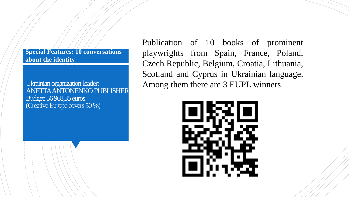**Special Features: 10 conversations about the identity**

Ukrainian organization-leader: ANETTA ANTONENKO PUBLISHER Budget: 56 968,35 euros (Creative Europe covers 50 %)

Publication of 10 books of prominent playwrights from Spain, France, Poland, Czech Republic, Belgium, Croatia, Lithuania, Scotland and Cyprus in Ukrainian language. Among them there are 3 EUPL winners.

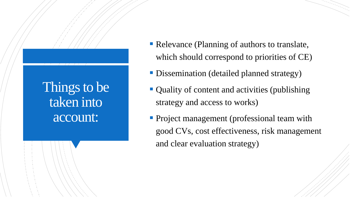### Things to be taken into account:

- Relevance (Planning of authors to translate, which should correspond to priorities of CE)
- **Dissemination (detailed planned strategy)**
- Quality of content and activities (publishing strategy and access to works)
- **Project management (professional team with** good CVs, cost effectiveness, risk management and clear evaluation strategy)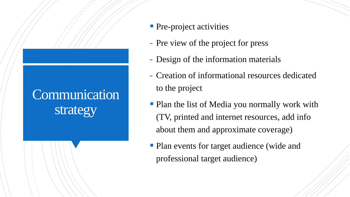## Communication strategy

- **Pre-project activities**
- Pre view of the project for press
- Design of the information materials
- Creation of informational resources dedicated to the project
- Plan the list of Media you normally work with (TV, printed and internet resources, add info about them and approximate coverage)
- Plan events for target audience (wide and professional target audience)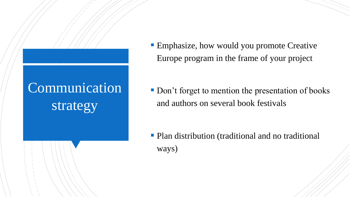## Communication strategy

**Emphasize, how would you promote Creative** Europe program in the frame of your project

■ Don't forget to mention the presentation of books and authors on several book festivals

**• Plan distribution (traditional and no traditional** ways)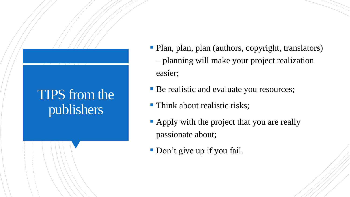## TIPS from the publishers

- Plan, plan, plan (authors, copyright, translators) – planning will make your project realization easier;
- **Be realistic and evaluate you resources;**
- **Think about realistic risks;**
- Apply with the project that you are really passionate about;
- **Don't give up if you fail.**